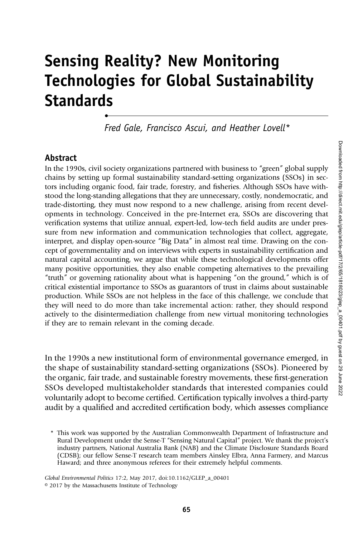# Sensing Reality? New Monitoring Technologies for Global Sustainability **Standards**

Fred Gale, Francisco Ascui, and Heather Lovell\*

#### Abstract

•

In the 1990s, civil society organizations partnered with business to "green" global supply chains by setting up formal sustainability standard-setting organizations (SSOs) in sectors including organic food, fair trade, forestry, and fisheries. Although SSOs have withstood the long-standing allegations that they are unnecessary, costly, nondemocratic, and trade-distorting, they must now respond to a new challenge, arising from recent developments in technology. Conceived in the pre-Internet era, SSOs are discovering that verification systems that utilize annual, expert-led, low-tech field audits are under pressure from new information and communication technologies that collect, aggregate, interpret, and display open-source "Big Data" in almost real time. Drawing on the concept of governmentality and on interviews with experts in sustainability certification and natural capital accounting, we argue that while these technological developments offer many positive opportunities, they also enable competing alternatives to the prevailing "truth" or governing rationality about what is happening "on the ground," which is of critical existential importance to SSOs as guarantors of trust in claims about sustainable production. While SSOs are not helpless in the face of this challenge, we conclude that they will need to do more than take incremental action: rather, they should respond actively to the disintermediation challenge from new virtual monitoring technologies if they are to remain relevant in the coming decade.

In the 1990s a new institutional form of environmental governance emerged, in the shape of sustainability standard-setting organizations (SSOs). Pioneered by the organic, fair trade, and sustainable forestry movements, these first-generation SSOs developed multistakeholder standards that interested companies could voluntarily adopt to become certified. Certification typically involves a third-party audit by a qualified and accredited certification body, which assesses compliance

Global Environmental Politics 17:2, May 2017, doi:10.1162/GLEP\_a\_00401 © 2017 by the Massachusetts Institute of Technology

<sup>\*</sup> This work was supported by the Australian Commonwealth Department of Infrastructure and Rural Development under the Sense-T "Sensing Natural Capital" project. We thank the project's industry partners, National Australia Bank (NAB) and the Climate Disclosure Standards Board (CDSB); our fellow Sense-T research team members Ainsley Elbra, Anna Farmery, and Marcus Haward; and three anonymous referees for their extremely helpful comments.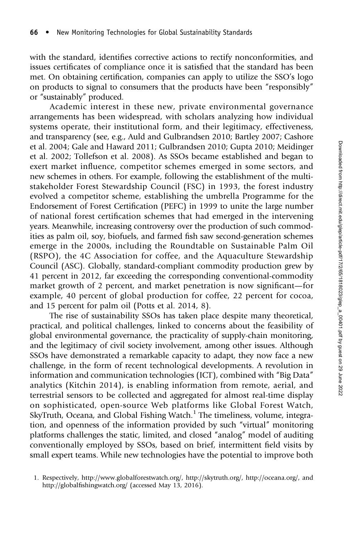with the standard, identifies corrective actions to rectify nonconformities, and issues certificates of compliance once it is satisfied that the standard has been met. On obtaining certification, companies can apply to utilize the SSO's logo on products to signal to consumers that the products have been "responsibly" or "sustainably" produced.

Academic interest in these new, private environmental governance arrangements has been widespread, with scholars analyzing how individual systems operate, their institutional form, and their legitimacy, effectiveness, and transparency (see, e.g., Auld and Gulbrandsen 2010; Bartley 2007; Cashore et al. 2004; Gale and Haward 2011; Gulbrandsen 2010; Gupta 2010; Meidinger et al. 2002; Tollefson et al. 2008). As SSOs became established and began to exert market influence, competitor schemes emerged in some sectors, and new schemes in others. For example, following the establishment of the multistakeholder Forest Stewardship Council (FSC) in 1993, the forest industry evolved a competitor scheme, establishing the umbrella Programme for the Endorsement of Forest Certification (PEFC) in 1999 to unite the large number of national forest certification schemes that had emerged in the intervening years. Meanwhile, increasing controversy over the production of such commodities as palm oil, soy, biofuels, and farmed fish saw second-generation schemes emerge in the 2000s, including the Roundtable on Sustainable Palm Oil (RSPO), the 4C Association for coffee, and the Aquaculture Stewardship Council (ASC). Globally, standard-compliant commodity production grew by 41 percent in 2012, far exceeding the corresponding conventional-commodity market growth of 2 percent, and market penetration is now significant—for example, 40 percent of global production for coffee, 22 percent for cocoa, and 15 percent for palm oil (Potts et al. 2014, 8).

The rise of sustainability SSOs has taken place despite many theoretical, practical, and political challenges, linked to concerns about the feasibility of global environmental governance, the practicality of supply-chain monitoring, and the legitimacy of civil society involvement, among other issues. Although SSOs have demonstrated a remarkable capacity to adapt, they now face a new challenge, in the form of recent technological developments. A revolution in information and communication technologies (ICT), combined with "Big Data" analytics (Kitchin 2014), is enabling information from remote, aerial, and terrestrial sensors to be collected and aggregated for almost real-time display on sophisticated, open-source Web platforms like Global Forest Watch, SkyTruth, Oceana, and Global Fishing Watch.<sup>1</sup> The timeliness, volume, integration, and openness of the information provided by such "virtual" monitoring platforms challenges the static, limited, and closed "analog" model of auditing conventionally employed by SSOs, based on brief, intermittent field visits by small expert teams. While new technologies have the potential to improve both

<sup>1.</sup> Respectively, http://www.globalforestwatch.org/, http://skytruth.org/, http://oceana.org/, and http://globalfishingwatch.org/ (accessed May 13, 2016).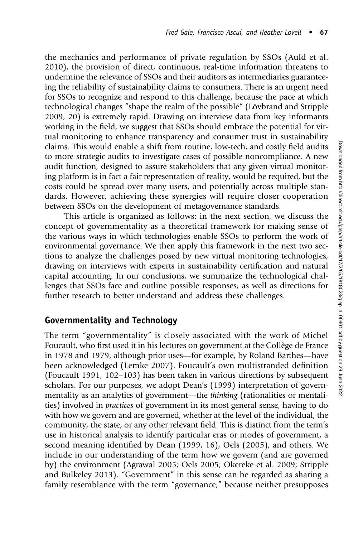the mechanics and performance of private regulation by SSOs (Auld et al. 2010), the provision of direct, continuous, real-time information threatens to undermine the relevance of SSOs and their auditors as intermediaries guaranteeing the reliability of sustainability claims to consumers. There is an urgent need for SSOs to recognize and respond to this challenge, because the pace at which technological changes "shape the realm of the possible" (Lövbrand and Stripple 2009, 20) is extremely rapid. Drawing on interview data from key informants working in the field, we suggest that SSOs should embrace the potential for virtual monitoring to enhance transparency and consumer trust in sustainability claims. This would enable a shift from routine, low-tech, and costly field audits to more strategic audits to investigate cases of possible noncompliance. A new audit function, designed to assure stakeholders that any given virtual monitoring platform is in fact a fair representation of reality, would be required, but the costs could be spread over many users, and potentially across multiple standards. However, achieving these synergies will require closer cooperation between SSOs on the development of metagovernance standards.

This article is organized as follows: in the next section, we discuss the concept of governmentality as a theoretical framework for making sense of the various ways in which technologies enable SSOs to perform the work of environmental governance. We then apply this framework in the next two sections to analyze the challenges posed by new virtual monitoring technologies, drawing on interviews with experts in sustainability certification and natural capital accounting. In our conclusions, we summarize the technological challenges that SSOs face and outline possible responses, as well as directions for further research to better understand and address these challenges.

## Governmentality and Technology

The term "governmentality" is closely associated with the work of Michel Foucault, who first used it in his lectures on government at the Collège de France in 1978 and 1979, although prior uses—for example, by Roland Barthes—have been acknowledged (Lemke 2007). Foucault's own multistranded definition (Foucault 1991, 102–103) has been taken in various directions by subsequent scholars. For our purposes, we adopt Dean's (1999) interpretation of governmentality as an analytics of government—the thinking (rationalities or mentalities) involved in practices of government in its most general sense, having to do with how we govern and are governed, whether at the level of the individual, the community, the state, or any other relevant field. This is distinct from the term's use in historical analysis to identify particular eras or modes of government, a second meaning identified by Dean (1999, 16), Oels (2005), and others. We include in our understanding of the term how we govern (and are governed by) the environment (Agrawal 2005; Oels 2005; Okereke et al. 2009; Stripple and Bulkeley 2013). "Government" in this sense can be regarded as sharing a family resemblance with the term "governance," because neither presupposes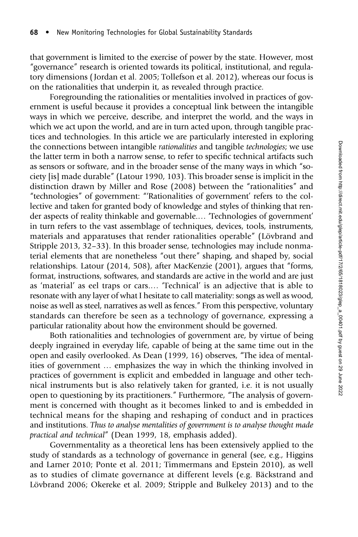that government is limited to the exercise of power by the state. However, most "governance" research is oriented towards its political, institutional, and regulatory dimensions ( Jordan et al. 2005; Tollefson et al. 2012), whereas our focus is on the rationalities that underpin it, as revealed through practice.

Foregrounding the rationalities or mentalities involved in practices of government is useful because it provides a conceptual link between the intangible ways in which we perceive, describe, and interpret the world, and the ways in which we act upon the world, and are in turn acted upon, through tangible practices and technologies. In this article we are particularly interested in exploring the connections between intangible rationalities and tangible technologies; we use the latter term in both a narrow sense, to refer to specific technical artifacts such as sensors or software, and in the broader sense of the many ways in which "society [is] made durable" (Latour 1990, 103). This broader sense is implicit in the distinction drawn by Miller and Rose (2008) between the "rationalities" and "technologies" of government: "'Rationalities of government' refers to the collective and taken for granted body of knowledge and styles of thinking that render aspects of reality thinkable and governable.… 'Technologies of government' in turn refers to the vast assemblage of techniques, devices, tools, instruments, materials and apparatuses that render rationalities operable" (Lövbrand and Stripple 2013, 32–33). In this broader sense, technologies may include nonmaterial elements that are nonetheless "out there" shaping, and shaped by, social relationships. Latour (2014, 508), after MacKenzie (2001), argues that "forms, format, instructions, softwares, and standards are active in the world and are just as 'material' as eel traps or cars.… 'Technical' is an adjective that is able to resonate with any layer of what I hesitate to call materiality: songs as well as wood, noise as well as steel, narratives as well as fences." From this perspective, voluntary standards can therefore be seen as a technology of governance, expressing a particular rationality about how the environment should be governed.

Both rationalities and technologies of government are, by virtue of being deeply ingrained in everyday life, capable of being at the same time out in the open and easily overlooked. As Dean (1999, 16) observes, "The idea of mentalities of government … emphasizes the way in which the thinking involved in practices of government is explicit and embedded in language and other technical instruments but is also relatively taken for granted, i.e. it is not usually open to questioning by its practitioners." Furthermore, "The analysis of government is concerned with thought as it becomes linked to and is embedded in technical means for the shaping and reshaping of conduct and in practices and institutions. Thus to analyse mentalities of government is to analyse thought made practical and technical" (Dean 1999, 18, emphasis added).

Governmentality as a theoretical lens has been extensively applied to the study of standards as a technology of governance in general (see, e.g., Higgins and Larner 2010; Ponte et al. 2011; Timmermans and Epstein 2010), as well as to studies of climate governance at different levels (e.g. Bäckstrand and Lövbrand 2006; Okereke et al. 2009; Stripple and Bulkeley 2013) and to the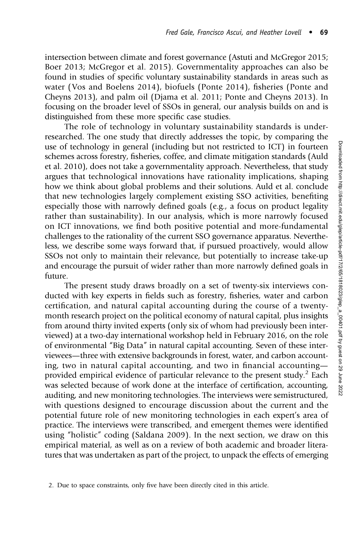intersection between climate and forest governance (Astuti and McGregor 2015; Boer 2013; McGregor et al. 2015). Governmentality approaches can also be found in studies of specific voluntary sustainability standards in areas such as water (Vos and Boelens 2014), biofuels (Ponte 2014), fisheries (Ponte and Cheyns 2013), and palm oil (Djama et al. 2011; Ponte and Cheyns 2013). In focusing on the broader level of SSOs in general, our analysis builds on and is distinguished from these more specific case studies.

The role of technology in voluntary sustainability standards is underresearched. The one study that directly addresses the topic, by comparing the use of technology in general (including but not restricted to ICT) in fourteen schemes across forestry, fisheries, coffee, and climate mitigation standards (Auld et al. 2010), does not take a governmentality approach. Nevertheless, that study argues that technological innovations have rationality implications, shaping how we think about global problems and their solutions. Auld et al. conclude that new technologies largely complement existing SSO activities, benefiting especially those with narrowly defined goals (e.g., a focus on product legality rather than sustainability). In our analysis, which is more narrowly focused on ICT innovations, we find both positive potential and more-fundamental challenges to the rationality of the current SSO governance apparatus. Nevertheless, we describe some ways forward that, if pursued proactively, would allow SSOs not only to maintain their relevance, but potentially to increase take-up and encourage the pursuit of wider rather than more narrowly defined goals in future.

The present study draws broadly on a set of twenty-six interviews conducted with key experts in fields such as forestry, fisheries, water and carbon certification, and natural capital accounting during the course of a twentymonth research project on the political economy of natural capital, plus insights from around thirty invited experts (only six of whom had previously been interviewed) at a two-day international workshop held in February 2016, on the role of environmental "Big Data" in natural capital accounting. Seven of these interviewees—three with extensive backgrounds in forest, water, and carbon accounting, two in natural capital accounting, and two in financial accounting provided empirical evidence of particular relevance to the present study.<sup>2</sup> Each was selected because of work done at the interface of certification, accounting, auditing, and new monitoring technologies. The interviews were semistructured, with questions designed to encourage discussion about the current and the potential future role of new monitoring technologies in each expert's area of practice. The interviews were transcribed, and emergent themes were identified using "holistic" coding (Saldana 2009). In the next section, we draw on this empirical material, as well as on a review of both academic and broader literatures that was undertaken as part of the project, to unpack the effects of emerging

<sup>2.</sup> Due to space constraints, only five have been directly cited in this article.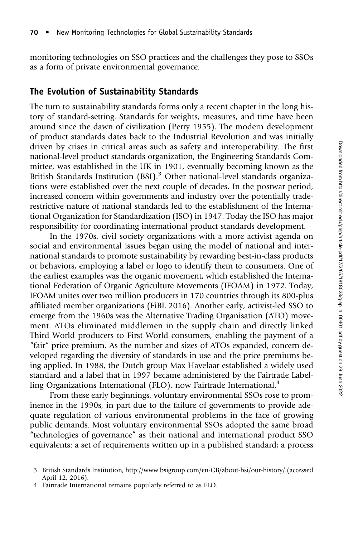monitoring technologies on SSO practices and the challenges they pose to SSOs as a form of private environmental governance.

### The Evolution of Sustainability Standards

The turn to sustainability standards forms only a recent chapter in the long history of standard-setting. Standards for weights, measures, and time have been around since the dawn of civilization (Perry 1955). The modern development of product standards dates back to the Industrial Revolution and was initially driven by crises in critical areas such as safety and interoperability. The first national-level product standards organization, the Engineering Standards Committee, was established in the UK in 1901, eventually becoming known as the British Standards Institution (BSI).<sup>3</sup> Other national-level standards organizations were established over the next couple of decades. In the postwar period, increased concern within governments and industry over the potentially traderestrictive nature of national standards led to the establishment of the International Organization for Standardization (ISO) in 1947. Today the ISO has major responsibility for coordinating international product standards development.

In the 1970s, civil society organizations with a more activist agenda on social and environmental issues began using the model of national and international standards to promote sustainability by rewarding best-in-class products or behaviors, employing a label or logo to identify them to consumers. One of the earliest examples was the organic movement, which established the International Federation of Organic Agriculture Movements (IFOAM) in 1972. Today, IFOAM unites over two million producers in 170 countries through its 800-plus affiliated member organizations (FiBL 2016). Another early, activist-led SSO to emerge from the 1960s was the Alternative Trading Organisation (ATO) movement. ATOs eliminated middlemen in the supply chain and directly linked Third World producers to First World consumers, enabling the payment of a "fair" price premium. As the number and sizes of ATOs expanded, concern developed regarding the diversity of standards in use and the price premiums being applied. In 1988, the Dutch group Max Havelaar established a widely used standard and a label that in 1997 became administered by the Fairtrade Labelling Organizations International (FLO), now Fairtrade International.<sup>4</sup>

From these early beginnings, voluntary environmental SSOs rose to prominence in the 1990s, in part due to the failure of governments to provide adequate regulation of various environmental problems in the face of growing public demands. Most voluntary environmental SSOs adopted the same broad "technologies of governance" as their national and international product SSO equivalents: a set of requirements written up in a published standard; a process

<sup>3.</sup> British Standards Institution, http://www.bsigroup.com/en-GB/about-bsi/our-history/ (accessed April 12, 2016).

<sup>4.</sup> Fairtrade International remains popularly referred to as FLO.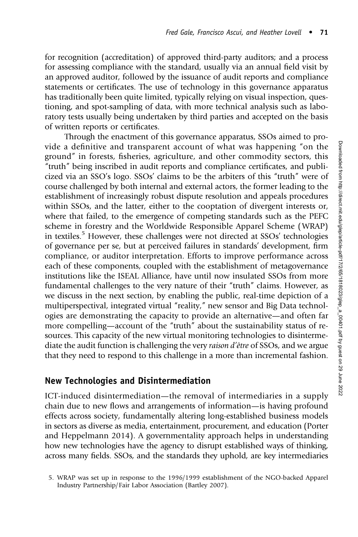for recognition (accreditation) of approved third-party auditors; and a process for assessing compliance with the standard, usually via an annual field visit by an approved auditor, followed by the issuance of audit reports and compliance statements or certificates. The use of technology in this governance apparatus has traditionally been quite limited, typically relying on visual inspection, questioning, and spot-sampling of data, with more technical analysis such as laboratory tests usually being undertaken by third parties and accepted on the basis of written reports or certificates.

Through the enactment of this governance apparatus, SSOs aimed to provide a definitive and transparent account of what was happening "on the ground" in forests, fisheries, agriculture, and other commodity sectors, this "truth" being inscribed in audit reports and compliance certificates, and publicized via an SSO's logo. SSOs' claims to be the arbiters of this "truth" were of course challenged by both internal and external actors, the former leading to the establishment of increasingly robust dispute resolution and appeals procedures within SSOs, and the latter, either to the cooptation of divergent interests or, where that failed, to the emergence of competing standards such as the PEFC scheme in forestry and the Worldwide Responsible Apparel Scheme (WRAP) in textiles.<sup>5</sup> However, these challenges were not directed at SSOs' technologies of governance per se, but at perceived failures in standards' development, firm compliance, or auditor interpretation. Efforts to improve performance across each of these components, coupled with the establishment of metagovernance institutions like the ISEAL Alliance, have until now insulated SSOs from more fundamental challenges to the very nature of their "truth" claims. However, as we discuss in the next section, by enabling the public, real-time depiction of a multiperspectival, integrated virtual "reality," new sensor and Big Data technologies are demonstrating the capacity to provide an alternative—and often far more compelling—account of the "truth" about the sustainability status of resources. This capacity of the new virtual monitoring technologies to disintermediate the audit function is challenging the very raison d'être of SSOs, and we argue that they need to respond to this challenge in a more than incremental fashion.

## New Technologies and Disintermediation

ICT-induced disintermediation—the removal of intermediaries in a supply chain due to new flows and arrangements of information—is having profound effects across society, fundamentally altering long-established business models in sectors as diverse as media, entertainment, procurement, and education (Porter and Heppelmann 2014). A governmentality approach helps in understanding how new technologies have the agency to disrupt established ways of thinking, across many fields. SSOs, and the standards they uphold, are key intermediaries

<sup>5.</sup> WRAP was set up in response to the 1996/1999 establishment of the NGO-backed Apparel Industry Partnership/ Fair Labor Association (Bartley 2007).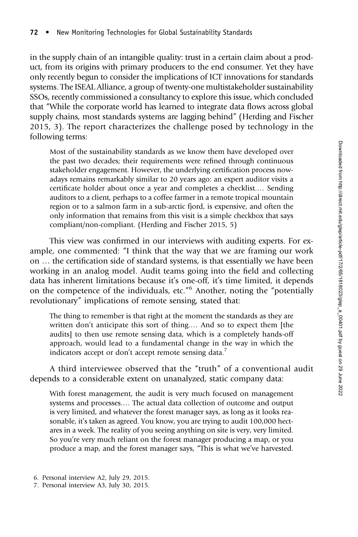in the supply chain of an intangible quality: trust in a certain claim about a product, from its origins with primary producers to the end consumer. Yet they have only recently begun to consider the implications of ICT innovations for standards systems. The ISEAL Alliance, a group of twenty-one multistakeholder sustainability SSOs, recently commissioned a consultancy to explore this issue, which concluded that "While the corporate world has learned to integrate data flows across global supply chains, most standards systems are lagging behind" (Herding and Fischer 2015, 3). The report characterizes the challenge posed by technology in the following terms:

Most of the sustainability standards as we know them have developed over the past two decades; their requirements were refined through continuous stakeholder engagement. However, the underlying certification process nowadays remains remarkably similar to 20 years ago: an expert auditor visits a certificate holder about once a year and completes a checklist.… Sending auditors to a client, perhaps to a coffee farmer in a remote tropical mountain region or to a salmon farm in a sub-arctic fjord, is expensive, and often the only information that remains from this visit is a simple checkbox that says compliant/non-compliant. (Herding and Fischer 2015, 5)

This view was confirmed in our interviews with auditing experts. For example, one commented: "I think that the way that we are framing our work on … the certification side of standard systems, is that essentially we have been working in an analog model. Audit teams going into the field and collecting data has inherent limitations because it's one-off, it's time limited, it depends on the competence of the individuals, etc." <sup>6</sup> Another, noting the "potentially revolutionary" implications of remote sensing, stated that:

The thing to remember is that right at the moment the standards as they are written don't anticipate this sort of thing.… And so to expect them [the audits] to then use remote sensing data, which is a completely hands-off approach, would lead to a fundamental change in the way in which the indicators accept or don't accept remote sensing data.<sup>7</sup>

A third interviewee observed that the "truth" of a conventional audit depends to a considerable extent on unanalyzed, static company data:

With forest management, the audit is very much focused on management systems and processes.… The actual data collection of outcome and output is very limited, and whatever the forest manager says, as long as it looks reasonable, it's taken as agreed. You know, you are trying to audit 100,000 hectares in a week. The reality of you seeing anything on site is very, very limited. So you're very much reliant on the forest manager producing a map, or you produce a map, and the forest manager says, "This is what we've harvested.

7. Personal interview A3, July 30, 2015.

<sup>6.</sup> Personal interview A2, July 29, 2015.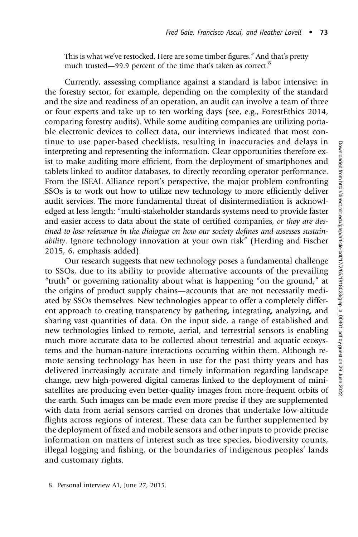This is what we've restocked. Here are some timber figures." And that's pretty much trusted—99.9 percent of the time that's taken as correct.<sup>8</sup>

Currently, assessing compliance against a standard is labor intensive: in the forestry sector, for example, depending on the complexity of the standard and the size and readiness of an operation, an audit can involve a team of three or four experts and take up to ten working days (see, e.g., ForestEthics 2014, comparing forestry audits). While some auditing companies are utilizing portable electronic devices to collect data, our interviews indicated that most continue to use paper-based checklists, resulting in inaccuracies and delays in interpreting and representing the information. Clear opportunities therefore exist to make auditing more efficient, from the deployment of smartphones and tablets linked to auditor databases, to directly recording operator performance. From the ISEAL Alliance report's perspective, the major problem confronting SSOs is to work out how to utilize new technology to more efficiently deliver audit services. The more fundamental threat of disintermediation is acknowledged at less length: "multi-stakeholder standards systems need to provide faster and easier access to data about the state of certified companies, or they are destined to lose relevance in the dialogue on how our society defines and assesses sustainability. Ignore technology innovation at your own risk" (Herding and Fischer 2015, 6, emphasis added).

Our research suggests that new technology poses a fundamental challenge to SSOs, due to its ability to provide alternative accounts of the prevailing "truth" or governing rationality about what is happening "on the ground," at the origins of product supply chains—accounts that are not necessarily mediated by SSOs themselves. New technologies appear to offer a completely different approach to creating transparency by gathering, integrating, analyzing, and sharing vast quantities of data. On the input side, a range of established and new technologies linked to remote, aerial, and terrestrial sensors is enabling much more accurate data to be collected about terrestrial and aquatic ecosystems and the human-nature interactions occurring within them. Although remote sensing technology has been in use for the past thirty years and has delivered increasingly accurate and timely information regarding landscape change, new high-powered digital cameras linked to the deployment of minisatellites are producing even better-quality images from more-frequent orbits of the earth. Such images can be made even more precise if they are supplemented with data from aerial sensors carried on drones that undertake low-altitude flights across regions of interest. These data can be further supplemented by the deployment of fixed and mobile sensors and other inputs to provide precise information on matters of interest such as tree species, biodiversity counts, illegal logging and fishing, or the boundaries of indigenous peoples' lands and customary rights.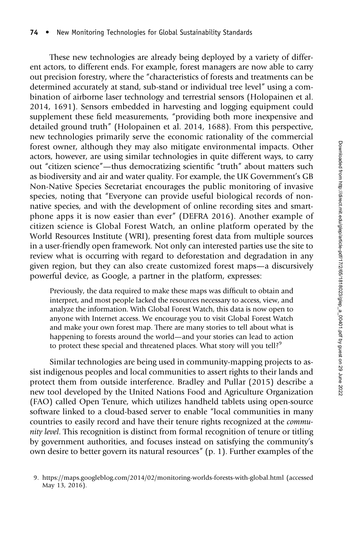These new technologies are already being deployed by a variety of different actors, to different ends. For example, forest managers are now able to carry out precision forestry, where the "characteristics of forests and treatments can be determined accurately at stand, sub-stand or individual tree level" using a combination of airborne laser technology and terrestrial sensors (Holopainen et al. 2014, 1691). Sensors embedded in harvesting and logging equipment could supplement these field measurements, "providing both more inexpensive and detailed ground truth" (Holopainen et al. 2014, 1688). From this perspective, new technologies primarily serve the economic rationality of the commercial forest owner, although they may also mitigate environmental impacts. Other actors, however, are using similar technologies in quite different ways, to carry out "citizen science"—thus democratizing scientific "truth" about matters such as biodiversity and air and water quality. For example, the UK Government's GB Non-Native Species Secretariat encourages the public monitoring of invasive species, noting that "Everyone can provide useful biological records of nonnative species, and with the development of online recording sites and smartphone apps it is now easier than ever" (DEFRA 2016). Another example of citizen science is Global Forest Watch, an online platform operated by the World Resources Institute (WRI), presenting forest data from multiple sources in a user-friendly open framework. Not only can interested parties use the site to review what is occurring with regard to deforestation and degradation in any given region, but they can also create customized forest maps—a discursively powerful device, as Google, a partner in the platform, expresses:

Previously, the data required to make these maps was difficult to obtain and interpret, and most people lacked the resources necessary to access, view, and analyze the information. With Global Forest Watch, this data is now open to anyone with Internet access. We encourage you to visit Global Forest Watch and make your own forest map. There are many stories to tell about what is happening to forests around the world—and your stories can lead to action to protect these special and threatened places. What story will you tell?<sup>9</sup>

Similar technologies are being used in community-mapping projects to assist indigenous peoples and local communities to assert rights to their lands and protect them from outside interference. Bradley and Pullar (2015) describe a new tool developed by the United Nations Food and Agriculture Organization (FAO) called Open Tenure, which utilizes handheld tablets using open-source software linked to a cloud-based server to enable "local communities in many countries to easily record and have their tenure rights recognized at the community level. This recognition is distinct from formal recognition of tenure or titling by government authorities, and focuses instead on satisfying the community's own desire to better govern its natural resources" (p. 1). Further examples of the

<sup>9.</sup> https://maps.googleblog.com/2014/02/monitoring-worlds-forests-with-global.html (accessed May 13, 2016).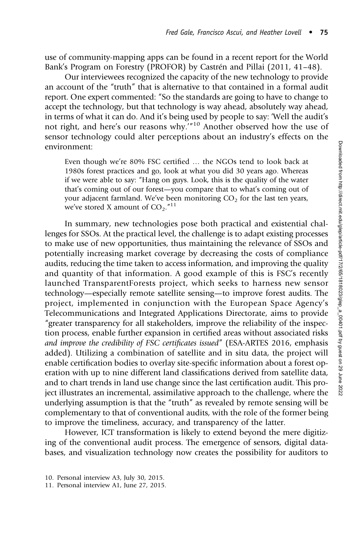use of community-mapping apps can be found in a recent report for the World Bank's Program on Forestry (PROFOR) by Castrén and Pillai (2011, 41–48).

Our interviewees recognized the capacity of the new technology to provide an account of the "truth" that is alternative to that contained in a formal audit report. One expert commented: "So the standards are going to have to change to accept the technology, but that technology is way ahead, absolutely way ahead, in terms of what it can do. And it's being used by people to say: 'Well the audit's not right, and here's our reasons why.'"<sup>10</sup> Another observed how the use of sensor technology could alter perceptions about an industry's effects on the environment:

Even though we're 80% FSC certified … the NGOs tend to look back at 1980s forest practices and go, look at what you did 30 years ago. Whereas if we were able to say: "Hang on guys. Look, this is the quality of the water that's coming out of our forest—you compare that to what's coming out of your adjacent farmland. We've been monitoring  $CO<sub>2</sub>$  for the last ten years, we've stored X amount of  $CO_2$ ."<sup>11</sup>

In summary, new technologies pose both practical and existential challenges for SSOs. At the practical level, the challenge is to adapt existing processes to make use of new opportunities, thus maintaining the relevance of SSOs and potentially increasing market coverage by decreasing the costs of compliance audits, reducing the time taken to access information, and improving the quality and quantity of that information. A good example of this is FSC's recently launched TransparentForests project, which seeks to harness new sensor technology—especially remote satellite sensing—to improve forest audits. The project, implemented in conjunction with the European Space Agency's Telecommunications and Integrated Applications Directorate, aims to provide "greater transparency for all stakeholders, improve the reliability of the inspection process, enable further expansion in certified areas without associated risks and improve the credibility of FSC certificates issued" (ESA-ARTES 2016, emphasis added). Utilizing a combination of satellite and in situ data, the project will enable certification bodies to overlay site-specific information about a forest operation with up to nine different land classifications derived from satellite data, and to chart trends in land use change since the last certification audit. This project illustrates an incremental, assimilative approach to the challenge, where the underlying assumption is that the "truth" as revealed by remote sensing will be complementary to that of conventional audits, with the role of the former being to improve the timeliness, accuracy, and transparency of the latter.

However, ICT transformation is likely to extend beyond the mere digitizing of the conventional audit process. The emergence of sensors, digital databases, and visualization technology now creates the possibility for auditors to

<sup>10.</sup> Personal interview A3, July 30, 2015.

<sup>11.</sup> Personal interview A1, June 27, 2015.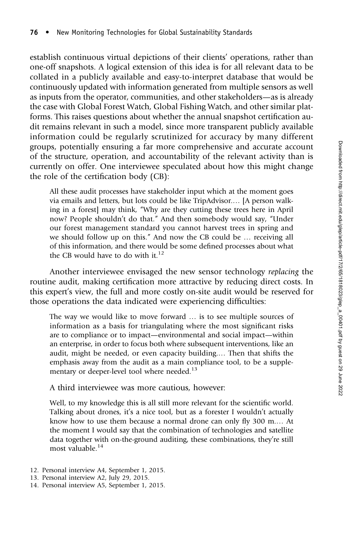establish continuous virtual depictions of their clients' operations, rather than one-off snapshots. A logical extension of this idea is for all relevant data to be collated in a publicly available and easy-to-interpret database that would be continuously updated with information generated from multiple sensors as well as inputs from the operator, communities, and other stakeholders—as is already the case with Global Forest Watch, Global Fishing Watch, and other similar platforms. This raises questions about whether the annual snapshot certification audit remains relevant in such a model, since more transparent publicly available information could be regularly scrutinized for accuracy by many different groups, potentially ensuring a far more comprehensive and accurate account of the structure, operation, and accountability of the relevant activity than is currently on offer. One interviewee speculated about how this might change the role of the certification body (CB):

All these audit processes have stakeholder input which at the moment goes via emails and letters, but lots could be like TripAdvisor.… [A person walking in a forest] may think, "Why are they cutting these trees here in April now? People shouldn't do that." And then somebody would say, "Under our forest management standard you cannot harvest trees in spring and we should follow up on this." And now the CB could be … receiving all of this information, and there would be some defined processes about what the CB would have to do with it. $12$ 

Another interviewee envisaged the new sensor technology replacing the routine audit, making certification more attractive by reducing direct costs. In this expert's view, the full and more costly on-site audit would be reserved for those operations the data indicated were experiencing difficulties:

The way we would like to move forward … is to see multiple sources of information as a basis for triangulating where the most significant risks are to compliance or to impact—environmental and social impact—within an enterprise, in order to focus both where subsequent interventions, like an audit, might be needed, or even capacity building.… Then that shifts the emphasis away from the audit as a main compliance tool, to be a supplementary or deeper-level tool where needed.<sup>13</sup>

A third interviewee was more cautious, however:

Well, to my knowledge this is all still more relevant for the scientific world. Talking about drones, it's a nice tool, but as a forester I wouldn't actually know how to use them because a normal drone can only fly 300 m.… At the moment I would say that the combination of technologies and satellite data together with on-the-ground auditing, these combinations, they're still most valuable.<sup>14</sup>

- 12. Personal interview A4, September 1, 2015.
- 13. Personal interview A2, July 29, 2015.
- 14. Personal interview A5, September 1, 2015.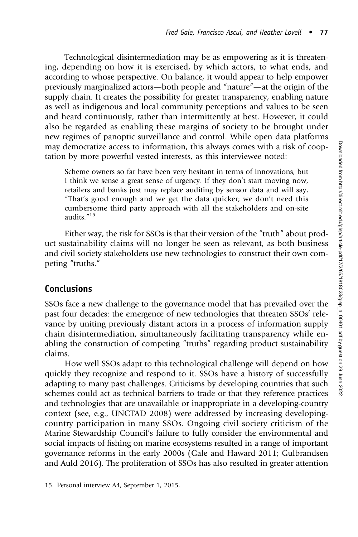Technological disintermediation may be as empowering as it is threatening, depending on how it is exercised, by which actors, to what ends, and according to whose perspective. On balance, it would appear to help empower previously marginalized actors—both people and "nature"—at the origin of the supply chain. It creates the possibility for greater transparency, enabling nature as well as indigenous and local community perceptions and values to be seen and heard continuously, rather than intermittently at best. However, it could also be regarded as enabling these margins of society to be brought under new regimes of panoptic surveillance and control. While open data platforms may democratize access to information, this always comes with a risk of cooptation by more powerful vested interests, as this interviewee noted:

Scheme owners so far have been very hesitant in terms of innovations, but I think we sense a great sense of urgency. If they don't start moving now, retailers and banks just may replace auditing by sensor data and will say, "That's good enough and we get the data quicker; we don't need this cumbersome third party approach with all the stakeholders and on-site audits." 15

Either way, the risk for SSOs is that their version of the "truth" about product sustainability claims will no longer be seen as relevant, as both business and civil society stakeholders use new technologies to construct their own competing "truths."

## Conclusions

SSOs face a new challenge to the governance model that has prevailed over the past four decades: the emergence of new technologies that threaten SSOs' relevance by uniting previously distant actors in a process of information supply chain disintermediation, simultaneously facilitating transparency while enabling the construction of competing "truths" regarding product sustainability claims.

How well SSOs adapt to this technological challenge will depend on how quickly they recognize and respond to it. SSOs have a history of successfully adapting to many past challenges. Criticisms by developing countries that such schemes could act as technical barriers to trade or that they reference practices and technologies that are unavailable or inappropriate in a developing-country context (see, e.g., UNCTAD 2008) were addressed by increasing developingcountry participation in many SSOs. Ongoing civil society criticism of the Marine Stewardship Council's failure to fully consider the environmental and social impacts of fishing on marine ecosystems resulted in a range of important governance reforms in the early 2000s (Gale and Haward 2011; Gulbrandsen and Auld 2016). The proliferation of SSOs has also resulted in greater attention

<sup>15.</sup> Personal interview A4, September 1, 2015.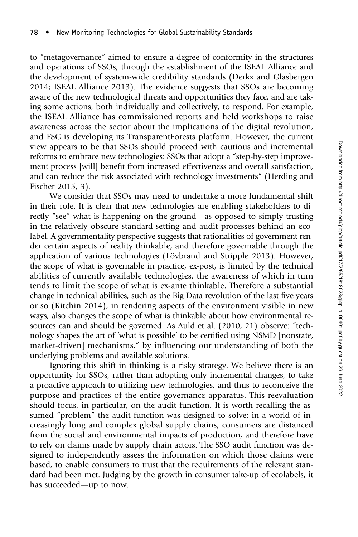to "metagovernance" aimed to ensure a degree of conformity in the structures and operations of SSOs, through the establishment of the ISEAL Alliance and the development of system-wide credibility standards (Derkx and Glasbergen 2014; ISEAL Alliance 2013). The evidence suggests that SSOs are becoming aware of the new technological threats and opportunities they face, and are taking some actions, both individually and collectively, to respond. For example, the ISEAL Alliance has commissioned reports and held workshops to raise awareness across the sector about the implications of the digital revolution, and FSC is developing its TransparentForests platform. However, the current view appears to be that SSOs should proceed with cautious and incremental reforms to embrace new technologies: SSOs that adopt a "step-by-step improvement process [will] benefit from increased effectiveness and overall satisfaction, and can reduce the risk associated with technology investments" (Herding and Fischer 2015, 3).

We consider that SSOs may need to undertake a more fundamental shift in their role. It is clear that new technologies are enabling stakeholders to directly "see" what is happening on the ground—as opposed to simply trusting in the relatively obscure standard-setting and audit processes behind an ecolabel. A governmentality perspective suggests that rationalities of government render certain aspects of reality thinkable, and therefore governable through the application of various technologies (Lövbrand and Stripple 2013). However, the scope of what is governable in practice, ex-post, is limited by the technical abilities of currently available technologies, the awareness of which in turn tends to limit the scope of what is ex-ante thinkable. Therefore a substantial change in technical abilities, such as the Big Data revolution of the last five years or so (Kitchin 2014), in rendering aspects of the environment visible in new ways, also changes the scope of what is thinkable about how environmental resources can and should be governed. As Auld et al. (2010, 21) observe: "technology shapes the art of 'what is possible' to be certified using NSMD [nonstate, market-driven] mechanisms," by influencing our understanding of both the underlying problems and available solutions.

Ignoring this shift in thinking is a risky strategy. We believe there is an opportunity for SSOs, rather than adopting only incremental changes, to take a proactive approach to utilizing new technologies, and thus to reconceive the purpose and practices of the entire governance apparatus. This reevaluation should focus, in particular, on the audit function. It is worth recalling the assumed "problem" the audit function was designed to solve: in a world of increasingly long and complex global supply chains, consumers are distanced from the social and environmental impacts of production, and therefore have to rely on claims made by supply chain actors. The SSO audit function was designed to independently assess the information on which those claims were based, to enable consumers to trust that the requirements of the relevant standard had been met. Judging by the growth in consumer take-up of ecolabels, it has succeeded—up to now.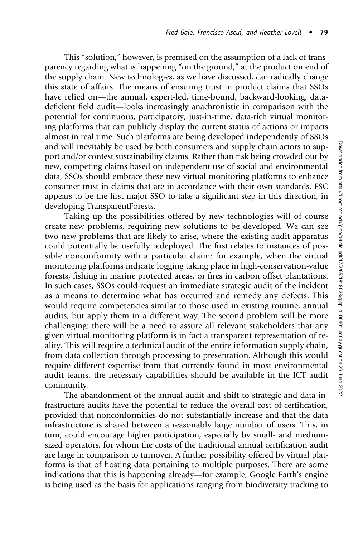This "solution," however, is premised on the assumption of a lack of transparency regarding what is happening "on the ground," at the production end of the supply chain. New technologies, as we have discussed, can radically change this state of affairs. The means of ensuring trust in product claims that SSOs have relied on—the annual, expert-led, time-bound, backward-looking, datadeficient field audit—looks increasingly anachronistic in comparison with the potential for continuous, participatory, just-in-time, data-rich virtual monitoring platforms that can publicly display the current status of actions or impacts almost in real time. Such platforms are being developed independently of SSOs and will inevitably be used by both consumers and supply chain actors to support and/or contest sustainability claims. Rather than risk being crowded out by new, competing claims based on independent use of social and environmental data, SSOs should embrace these new virtual monitoring platforms to enhance consumer trust in claims that are in accordance with their own standards. FSC appears to be the first major SSO to take a significant step in this direction, in developing TransparentForests.

Taking up the possibilities offered by new technologies will of course create new problems, requiring new solutions to be developed. We can see two new problems that are likely to arise, where the existing audit apparatus could potentially be usefully redeployed. The first relates to instances of possible nonconformity with a particular claim: for example, when the virtual monitoring platforms indicate logging taking place in high-conservation-value forests, fishing in marine protected areas, or fires in carbon offset plantations. In such cases, SSOs could request an immediate strategic audit of the incident as a means to determine what has occurred and remedy any defects. This would require competencies similar to those used in existing routine, annual audits, but apply them in a different way. The second problem will be more challenging: there will be a need to assure all relevant stakeholders that any given virtual monitoring platform is in fact a transparent representation of reality. This will require a technical audit of the entire information supply chain, from data collection through processing to presentation. Although this would require different expertise from that currently found in most environmental audit teams, the necessary capabilities should be available in the ICT audit community.

The abandonment of the annual audit and shift to strategic and data infrastructure audits have the potential to reduce the overall cost of certification, provided that nonconformities do not substantially increase and that the data infrastructure is shared between a reasonably large number of users. This, in turn, could encourage higher participation, especially by small- and mediumsized operators, for whom the costs of the traditional annual certification audit are large in comparison to turnover. A further possibility offered by virtual platforms is that of hosting data pertaining to multiple purposes. There are some indications that this is happening already—for example, Google Earth's engine is being used as the basis for applications ranging from biodiversity tracking to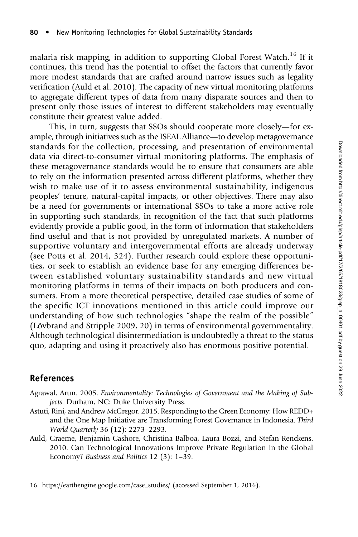malaria risk mapping, in addition to supporting Global Forest Watch.<sup>16</sup> If it continues, this trend has the potential to offset the factors that currently favor more modest standards that are crafted around narrow issues such as legality verification (Auld et al. 2010). The capacity of new virtual monitoring platforms to aggregate different types of data from many disparate sources and then to present only those issues of interest to different stakeholders may eventually constitute their greatest value added.

This, in turn, suggests that SSOs should cooperate more closely—for example, through initiatives such as the ISEAL Alliance—to develop metagovernance standards for the collection, processing, and presentation of environmental data via direct-to-consumer virtual monitoring platforms. The emphasis of these metagovernance standards would be to ensure that consumers are able to rely on the information presented across different platforms, whether they wish to make use of it to assess environmental sustainability, indigenous peoples' tenure, natural-capital impacts, or other objectives. There may also be a need for governments or international SSOs to take a more active role in supporting such standards, in recognition of the fact that such platforms evidently provide a public good, in the form of information that stakeholders find useful and that is not provided by unregulated markets. A number of supportive voluntary and intergovernmental efforts are already underway (see Potts et al. 2014, 324). Further research could explore these opportunities, or seek to establish an evidence base for any emerging differences between established voluntary sustainability standards and new virtual monitoring platforms in terms of their impacts on both producers and consumers. From a more theoretical perspective, detailed case studies of some of the specific ICT innovations mentioned in this article could improve our understanding of how such technologies "shape the realm of the possible" (Lövbrand and Stripple 2009, 20) in terms of environmental governmentality. Although technological disintermediation is undoubtedly a threat to the status quo, adapting and using it proactively also has enormous positive potential.

## **References**

- Agrawal, Arun. 2005. Environmentality: Technologies of Government and the Making of Subjects. Durham, NC: Duke University Press.
- Astuti, Rini, and Andrew McGregor. 2015. Responding to the Green Economy: How REDD+ and the One Map Initiative are Transforming Forest Governance in Indonesia. Third World Quarterly 36 (12): 2273–2293.
- Auld, Graeme, Benjamin Cashore, Christina Balboa, Laura Bozzi, and Stefan Renckens. 2010. Can Technological Innovations Improve Private Regulation in the Global Economy? Business and Politics 12 (3): 1–39.

16. https://earthengine.google.com/case\_studies/ (accessed September 1, 2016).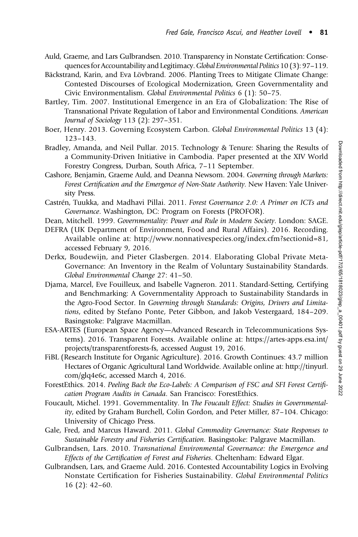- Auld, Graeme, and Lars Gulbrandsen. 2010. Transparency in Nonstate Certification: Consequences for Accountability and Legitimacy.Global Environmental Politics 10 (3): 97–119.
- Bäckstrand, Karin, and Eva Lövbrand. 2006. Planting Trees to Mitigate Climate Change: Contested Discourses of Ecological Modernization, Green Governmentality and Civic Environmentalism. Global Environmental Politics 6 (1): 50–75.
- Bartley, Tim. 2007. Institutional Emergence in an Era of Globalization: The Rise of Transnational Private Regulation of Labor and Environmental Conditions. American Journal of Sociology 113 (2): 297–351.
- Boer, Henry. 2013. Governing Ecosystem Carbon. Global Environmental Politics 13 (4): 123–143.
- Bradley, Amanda, and Neil Pullar. 2015. Technology & Tenure: Sharing the Results of a Community-Driven Initiative in Cambodia. Paper presented at the XIV World Forestry Congress, Durban, South Africa, 7–11 September.
- Cashore, Benjamin, Graeme Auld, and Deanna Newsom. 2004. Governing through Markets: Forest Certification and the Emergence of Non-State Authority. New Haven: Yale University Press.
- Castrén, Tuukka, and Madhavi Pillai. 2011. Forest Governance 2.0: A Primer on ICTs and Governance. Washington, DC: Program on Forests (PROFOR).
- Dean, Mitchell. 1999. Governmentality: Power and Rule in Modern Society. London: SAGE.
- DEFRA (UK Department of Environment, Food and Rural Affairs). 2016. Recording. Available online at: http://www.nonnativespecies.org/index.cfm?sectionid=81, accessed February 9, 2016.
- Derkx, Boudewijn, and Pieter Glasbergen. 2014. Elaborating Global Private Meta-Governance: An Inventory in the Realm of Voluntary Sustainability Standards. Global Environmental Change 27: 41–50.
- Djama, Marcel, Eve Fouilleux, and Isabelle Vagneron. 2011. Standard-Setting, Certifying and Benchmarking: A Governmentality Approach to Sustainability Standards in the Agro-Food Sector. In Governing through Standards: Origins, Drivers and Limitations, edited by Stefano Ponte, Peter Gibbon, and Jakob Vestergaard, 184–209. Basingstoke: Palgrave Macmillan.
- ESA-ARTES (European Space Agency—Advanced Research in Telecommunications Systems). 2016. Transparent Forests. Available online at: https://artes-apps.esa.int/ projects/transparentforests-fs, accessed August 19, 2016.
- FiBL (Research Institute for Organic Agriculture). 2016. Growth Continues: 43.7 million Hectares of Organic Agricultural Land Worldwide. Available online at: http://tinyurl. com/glq4e6c, accessed March 4, 2016.
- ForestEthics. 2014. Peeling Back the Eco-Labels: A Comparison of FSC and SFI Forest Certification Program Audits in Canada. San Francisco: ForestEthics.
- Foucault, Michel. 1991. Governmentality. In The Foucault Effect: Studies in Governmentality, edited by Graham Burchell, Colin Gordon, and Peter Miller, 87–104. Chicago: University of Chicago Press.
- Gale, Fred, and Marcus Haward. 2011. Global Commodity Governance: State Responses to Sustainable Forestry and Fisheries Certification. Basingstoke: Palgrave Macmillan.
- Gulbrandsen, Lars. 2010. Transnational Environmental Governance: the Emergence and Effects of the Certification of Forest and Fisheries. Cheltenham: Edward Elgar.
- Gulbrandsen, Lars, and Graeme Auld. 2016. Contested Accountability Logics in Evolving Nonstate Certification for Fisheries Sustainability. Global Environmental Politics 16 (2): 42–60.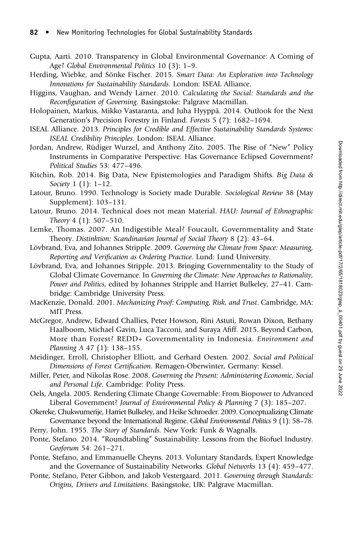- Gupta, Aarti. 2010. Transparency in Global Environmental Governance: A Coming of Age? Global Environmental Politics 10 (3): 1–9.
- Herding, Wiebke, and Sönke Fischer. 2015. Smart Data: An Exploration into Technology Innovations for Sustainability Standards. London: ISEAL Alliance.
- Higgins, Vaughan, and Wendy Larner. 2010. Calculating the Social: Standards and the Reconfiguration of Governing. Basingstoke: Palgrave Macmillan.
- Holopainen, Markus, Mikko Vastaranta, and Juha Hyyppä. 2014. Outlook for the Next Generation's Precision Forestry in Finland. Forests 5 (7): 1682–1694.
- ISEAL Alliance. 2013. Principles for Credible and Effective Sustainability Standards Systems: ISEAL Credibility Principles. London: ISEAL Alliance.
- Jordan, Andrew, Rüdiger Wurzel, and Anthony Zito. 2005. The Rise of "New" Policy Instruments in Comparative Perspective: Has Governance Eclipsed Government? Political Studies 53: 477–496.
- Kitchin, Rob. 2014. Big Data, New Epistemologies and Paradigm Shifts. Big Data & Society 1 (1): 1–12.
- Latour, Bruno. 1990. Technology is Society made Durable. Sociological Review 38 (May Supplement): 103–131.
- Latour, Bruno. 2014. Technical does not mean Material. HAU: Journal of Ethnographic Theory 4 (1): 507–510.
- Lemke, Thomas. 2007. An Indigestible Meal? Foucault, Governmentality and State Theory. Distinktion: Scandinavian Journal of Social Theory 8 (2): 43–64.
- Lövbrand, Eva, and Johannes Stripple. 2009. Governing the Climate from Space: Measuring, Reporting and Verification as Ordering Practice. Lund: Lund University.
- Lövbrand, Eva, and Johannes Stripple. 2013. Bringing Governmentality to the Study of Global Climate Governance. In Governing the Climate: New Approaches to Rationality, Power and Politics, edited by Johannes Stripple and Harriet Bulkeley, 27–41. Cambridge: Cambridge University Press.
- MacKenzie, Donald. 2001. Mechanizing Proof: Computing, Risk, and Trust. Cambridge, MA: MIT Press.
- McGregor, Andrew, Edward Challies, Peter Howson, Rini Astuti, Rowan Dixon, Bethany Haalboom, Michael Gavin, Luca Tacconi, and Suraya Afiff. 2015. Beyond Carbon, More than Forest? REDD+ Governmentality in Indonesia. Environment and Planning A 47 (1): 138–155.
- Meidinger, Erroll, Christopher Elliott, and Gerhard Oesten. 2002. Social and Political Dimensions of Forest Certification. Remagen-Oberwinter, Germany: Kessel.
- Miller, Peter, and Nikolas Rose. 2008. Governing the Present: Administering Economic, Social and Personal Life. Cambridge: Polity Press.
- Oels, Angela. 2005. Rendering Climate Change Governable: From Biopower to Advanced Liberal Government? Journal of Environmental Policy & Planning 7 (3): 185–207.
- Okereke, Chukwumerije, Harriet Bulkeley, and Heike Schroeder. 2009. Conceptualizing Climate Governance beyond the International Regime. Global Environmental Politics 9 (1): 58–78.
- Perry, John. 1955. The Story of Standards. New York: Funk & Wagnalls.
- Ponte, Stefano. 2014. "Roundtabling" Sustainability: Lessons from the Biofuel Industry. Geoforum 54: 261–271.
- Ponte, Stefano, and Emmanuelle Cheyns. 2013. Voluntary Standards, Expert Knowledge and the Governance of Sustainability Networks. Global Networks 13 (4): 459–477.
- Ponte, Stefano, Peter Gibbon, and Jakob Vestergaard. 2011. Governing through Standards: Origins, Drivers and Limitations. Basingstoke, UK: Palgrave Macmillan.